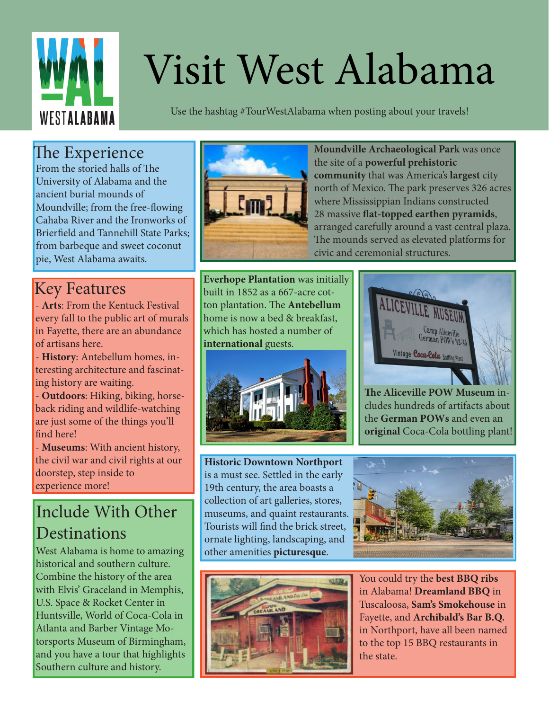

# Visit West Alabama

Use the hashtag #TourWestAlabama when posting about your travels!

### The Experience

From the storied halls of The University of Alabama and the ancient burial mounds of Moundville; from the free-flowing Cahaba River and the Ironworks of Brierfield and Tannehill State Parks; from barbeque and sweet coconut pie, West Alabama awaits.

### Key Features

- **Arts**: From the Kentuck Festival every fall to the public art of murals in Fayette, there are an abundance of artisans here.

- **History**: Antebellum homes, interesting architecture and fascinating history are waiting.

- **Outdoors**: Hiking, biking, horseback riding and wildlife-watching are just some of the things you'll find here!

- **Museums**: With ancient history, the civil war and civil rights at our doorstep, step inside to experience more!

## Include With Other **Destinations**

West Alabama is home to amazing historical and southern culture. Combine the history of the area with Elvis' Graceland in Memphis, U.S. Space & Rocket Center in Huntsville, World of Coca-Cola in Atlanta and Barber Vintage Motorsports Museum of Birmingham, and you have a tour that highlights Southern culture and history.



**Moundville Archaeological Park** was once the site of a **powerful prehistoric community** that was America's **largest** city north of Mexico. The park preserves 326 acres where Mississippian Indians constructed 28 massive **flat-topped earthen pyramids**, arranged carefully around a vast central plaza. The mounds served as elevated platforms for civic and ceremonial structures.

**Everhope Plantation** was initially built in 1852 as a 667-acre cotton plantation. The **Antebellum** home is now a bed & breakfast, which has hosted a number of **international** guests.



**Historic Downtown Northport**  is a must see. Settled in the early 19th century, the area boasts a collection of art galleries, stores, museums, and quaint restaurants. Tourists will find the brick street, ornate lighting, landscaping, and other amenities **picturesque**.



**The Aliceville POW Museum** includes hundreds of artifacts about the **German POWs** and even an **original** Coca-Cola bottling plant!





You could try the **best BBQ ribs** in Alabama! **Dreamland BBQ** in Tuscaloosa, **Sam's Smokehouse** in Fayette, and **Archibald's Bar B.Q.** in Northport, have all been named to the top 15 BBQ restaurants in the state.